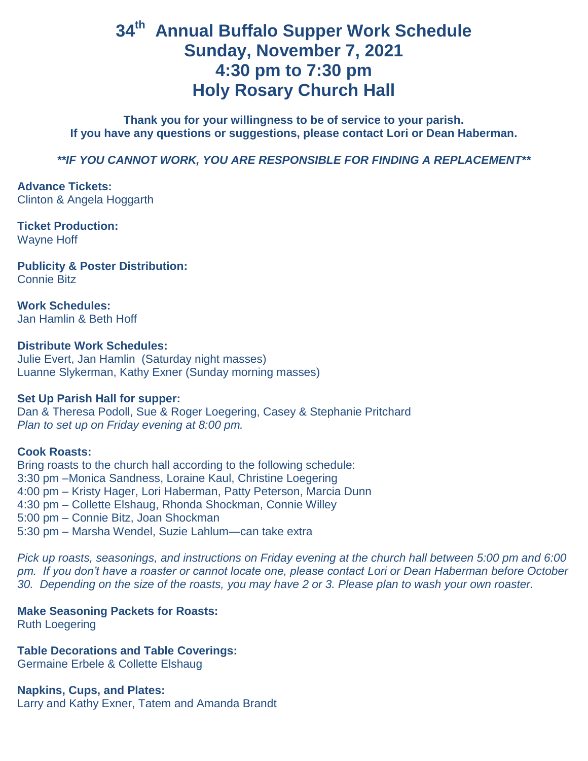# **34th Annual Buffalo Supper Work Schedule Sunday, November 7, 2021 4:30 pm to 7:30 pm Holy Rosary Church Hall**

**Thank you for your willingness to be of service to your parish. If you have any questions or suggestions, please contact Lori or Dean Haberman.** 

*\*\*IF YOU CANNOT WORK, YOU ARE RESPONSIBLE FOR FINDING A REPLACEMENT\*\**

**Advance Tickets:** Clinton & Angela Hoggarth

**Ticket Production:** Wayne Hoff

**Publicity & Poster Distribution:** Connie Bitz

**Work Schedules:** Jan Hamlin & Beth Hoff

#### **Distribute Work Schedules:**

Julie Evert, Jan Hamlin (Saturday night masses) Luanne Slykerman, Kathy Exner (Sunday morning masses)

#### **Set Up Parish Hall for supper:**

Dan & Theresa Podoll, Sue & Roger Loegering, Casey & Stephanie Pritchard *Plan to set up on Friday evening at 8:00 pm.*

#### **Cook Roasts:**

Bring roasts to the church hall according to the following schedule: 3:30 pm –Monica Sandness, Loraine Kaul, Christine Loegering 4:00 pm – Kristy Hager, Lori Haberman, Patty Peterson, Marcia Dunn 4:30 pm – Collette Elshaug, Rhonda Shockman, Connie Willey 5:00 pm – Connie Bitz, Joan Shockman 5:30 pm – Marsha Wendel, Suzie Lahlum—can take extra

*Pick up roasts, seasonings, and instructions on Friday evening at the church hall between 5:00 pm and 6:00 pm. If you don't have a roaster or cannot locate one, please contact Lori or Dean Haberman before October 30. Depending on the size of the roasts, you may have 2 or 3. Please plan to wash your own roaster.*

#### **Make Seasoning Packets for Roasts:**

Ruth Loegering

**Table Decorations and Table Coverings:**

Germaine Erbele & Collette Elshaug

**Napkins, Cups, and Plates:** Larry and Kathy Exner, Tatem and Amanda Brandt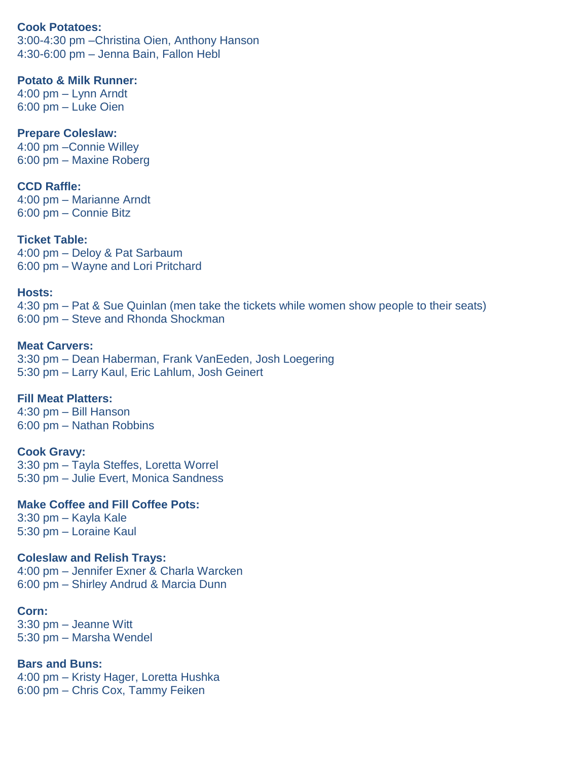#### **Cook Potatoes:**

3:00-4:30 pm –Christina Oien, Anthony Hanson 4:30-6:00 pm – Jenna Bain, Fallon Hebl

## **Potato & Milk Runner:**

4:00 pm – Lynn Arndt 6:00 pm – Luke Oien

## **Prepare Coleslaw:**

4:00 pm –Connie Willey 6:00 pm – Maxine Roberg

## **CCD Raffle:**

4:00 pm – Marianne Arndt 6:00 pm – Connie Bitz

## **Ticket Table:**

4:00 pm – Deloy & Pat Sarbaum 6:00 pm – Wayne and Lori Pritchard

## **Hosts:**

4:30 pm – Pat & Sue Quinlan (men take the tickets while women show people to their seats) 6:00 pm – Steve and Rhonda Shockman

## **Meat Carvers:**

3:30 pm – Dean Haberman, Frank VanEeden, Josh Loegering 5:30 pm – Larry Kaul, Eric Lahlum, Josh Geinert

## **Fill Meat Platters:**

4:30 pm – Bill Hanson 6:00 pm – Nathan Robbins

## **Cook Gravy:**

3:30 pm – Tayla Steffes, Loretta Worrel 5:30 pm – Julie Evert, Monica Sandness

## **Make Coffee and Fill Coffee Pots:**

3:30 pm – Kayla Kale 5:30 pm – Loraine Kaul

## **Coleslaw and Relish Trays:**

4:00 pm – Jennifer Exner & Charla Warcken 6:00 pm – Shirley Andrud & Marcia Dunn

## **Corn:**

3:30 pm – Jeanne Witt 5:30 pm – Marsha Wendel

## **Bars and Buns:**

4:00 pm – Kristy Hager, Loretta Hushka 6:00 pm – Chris Cox, Tammy Feiken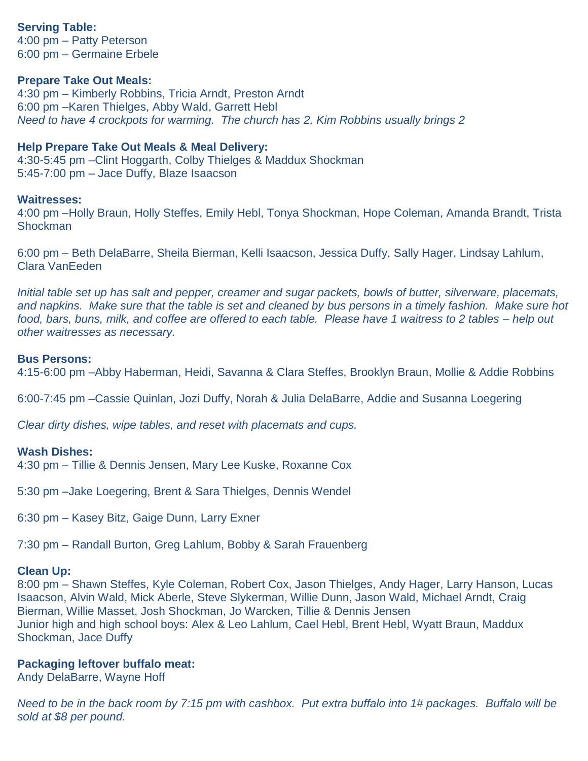## **Serving Table:**

4:00 pm – Patty Peterson 6:00 pm – Germaine Erbele

#### **Prepare Take Out Meals:**

4:30 pm – Kimberly Robbins, Tricia Arndt, Preston Arndt 6:00 pm –Karen Thielges, Abby Wald, Garrett Hebl *Need to have 4 crockpots for warming. The church has 2, Kim Robbins usually brings 2* 

#### **Help Prepare Take Out Meals & Meal Delivery:**

4:30-5:45 pm –Clint Hoggarth, Colby Thielges & Maddux Shockman 5:45-7:00 pm – Jace Duffy, Blaze Isaacson

#### **Waitresses:**

4:00 pm –Holly Braun, Holly Steffes, Emily Hebl, Tonya Shockman, Hope Coleman, Amanda Brandt, Trista **Shockman** 

6:00 pm – Beth DelaBarre, Sheila Bierman, Kelli Isaacson, Jessica Duffy, Sally Hager, Lindsay Lahlum, Clara VanEeden

*Initial table set up has salt and pepper, creamer and sugar packets, bowls of butter, silverware, placemats, and napkins. Make sure that the table is set and cleaned by bus persons in a timely fashion. Make sure hot food, bars, buns, milk, and coffee are offered to each table. Please have 1 waitress to 2 tables – help out other waitresses as necessary.*

#### **Bus Persons:**

4:15-6:00 pm –Abby Haberman, Heidi, Savanna & Clara Steffes, Brooklyn Braun, Mollie & Addie Robbins

6:00-7:45 pm –Cassie Quinlan, Jozi Duffy, Norah & Julia DelaBarre, Addie and Susanna Loegering

*Clear dirty dishes, wipe tables, and reset with placemats and cups.*

#### **Wash Dishes:**

4:30 pm – Tillie & Dennis Jensen, Mary Lee Kuske, Roxanne Cox

5:30 pm –Jake Loegering, Brent & Sara Thielges, Dennis Wendel

6:30 pm – Kasey Bitz, Gaige Dunn, Larry Exner

7:30 pm – Randall Burton, Greg Lahlum, Bobby & Sarah Frauenberg

#### **Clean Up:**

8:00 pm – Shawn Steffes, Kyle Coleman, Robert Cox, Jason Thielges, Andy Hager, Larry Hanson, Lucas Isaacson, Alvin Wald, Mick Aberle, Steve Slykerman, Willie Dunn, Jason Wald, Michael Arndt, Craig Bierman, Willie Masset, Josh Shockman, Jo Warcken, Tillie & Dennis Jensen Junior high and high school boys: Alex & Leo Lahlum, Cael Hebl, Brent Hebl, Wyatt Braun, Maddux Shockman, Jace Duffy

#### **Packaging leftover buffalo meat:**

Andy DelaBarre, Wayne Hoff

*Need to be in the back room by 7:15 pm with cashbox. Put extra buffalo into 1# packages. Buffalo will be sold at \$8 per pound.*